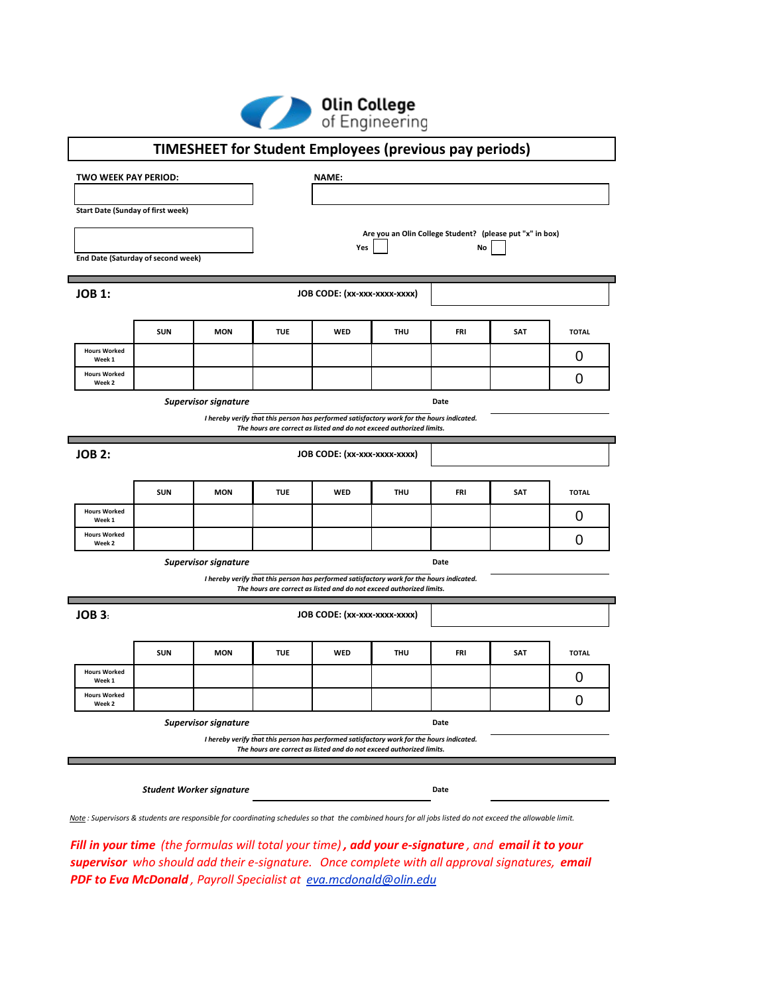**Date**



## **TIMESHEET for Student Employees (previous pay periods)**

*Fill in your time (the formulas will total your time) , add your e-signature , and email it to your supervisor who should add their e-signature. Once complete with all approval signatures, email PDF to Eva McDonald , Payroll Specialist at eva.mcdonald@olin.edu*

| TWO WEEK PAY PERIOD:                      |            |                             |            | <b>NAME:</b>                                                                                                                                                      |            |            |            |                |
|-------------------------------------------|------------|-----------------------------|------------|-------------------------------------------------------------------------------------------------------------------------------------------------------------------|------------|------------|------------|----------------|
| <b>Start Date (Sunday of first week)</b>  |            |                             |            |                                                                                                                                                                   |            |            |            |                |
|                                           |            |                             |            |                                                                                                                                                                   |            |            |            |                |
|                                           |            |                             |            | Are you an Olin College Student? (please put "x" in box)<br>Yes<br>No                                                                                             |            |            |            |                |
| <b>End Date (Saturday of second week)</b> |            |                             |            |                                                                                                                                                                   |            |            |            |                |
| <b>JOB 1:</b>                             |            |                             |            | JOB CODE: (XX-XXX-XXXX-XXXX)                                                                                                                                      |            |            |            |                |
|                                           | <b>SUN</b> | <b>MON</b>                  | <b>TUE</b> | <b>WED</b>                                                                                                                                                        | <b>THU</b> | <b>FRI</b> | <b>SAT</b> | <b>TOTAL</b>   |
| <b>Hours Worked</b><br>Week 1             |            |                             |            |                                                                                                                                                                   |            |            |            | $\overline{0}$ |
| <b>Hours Worked</b><br>Week 2             |            |                             |            |                                                                                                                                                                   |            |            |            | $\Omega$       |
|                                           |            | <b>Supervisor signature</b> |            |                                                                                                                                                                   |            | Date       |            |                |
|                                           |            |                             |            | I hereby verify that this person has performed satisfactory work for the hours indicated.<br>The hours are correct as listed and do not exceed authorized limits. |            |            |            |                |
| <b>JOB 2:</b>                             |            |                             |            | JOB CODE: (XX-XXX-XXXX-XXXX)                                                                                                                                      |            |            |            |                |
|                                           |            |                             |            |                                                                                                                                                                   |            |            |            |                |
|                                           | <b>SUN</b> | <b>MON</b>                  | <b>TUE</b> | <b>WED</b>                                                                                                                                                        | <b>THU</b> | <b>FRI</b> | <b>SAT</b> | <b>TOTAL</b>   |
| <b>Hours Worked</b><br>Week 1             |            |                             |            |                                                                                                                                                                   |            |            |            | 0              |
| <b>Hours Worked</b><br>Week 2             |            |                             |            |                                                                                                                                                                   |            |            |            | $\bigcap$<br>U |
|                                           |            | <b>Supervisor signature</b> |            |                                                                                                                                                                   |            | Date       |            |                |
|                                           |            |                             |            | I hereby verify that this person has performed satisfactory work for the hours indicated.<br>The hours are correct as listed and do not exceed authorized limits. |            |            |            |                |
| <b>JOB 3:</b>                             |            |                             |            | JOB CODE: (XX-XXX-XXXX-XXXX)                                                                                                                                      |            |            |            |                |
|                                           |            |                             |            |                                                                                                                                                                   |            |            |            |                |
|                                           | <b>SUN</b> | <b>MON</b>                  | <b>TUE</b> | <b>WED</b>                                                                                                                                                        | <b>THU</b> | <b>FRI</b> | <b>SAT</b> | <b>TOTAL</b>   |
| <b>Hours Worked</b><br>Week 1             |            |                             |            |                                                                                                                                                                   |            |            |            | 0              |
| <b>Hours Worked</b><br>Week 2             |            |                             |            |                                                                                                                                                                   |            |            |            | $\overline{0}$ |
|                                           |            | <b>Supervisor signature</b> |            |                                                                                                                                                                   |            | Date       |            |                |

*Note : Supervisors & students are responsible for coordinating schedules so that the combined hours for all jobs listed do not exceed the allowable limit.*

*I hereby verify that this person has performed satisfactory work for the hours indicated.*

| <b>Student Worker signature</b> |  |
|---------------------------------|--|
|---------------------------------|--|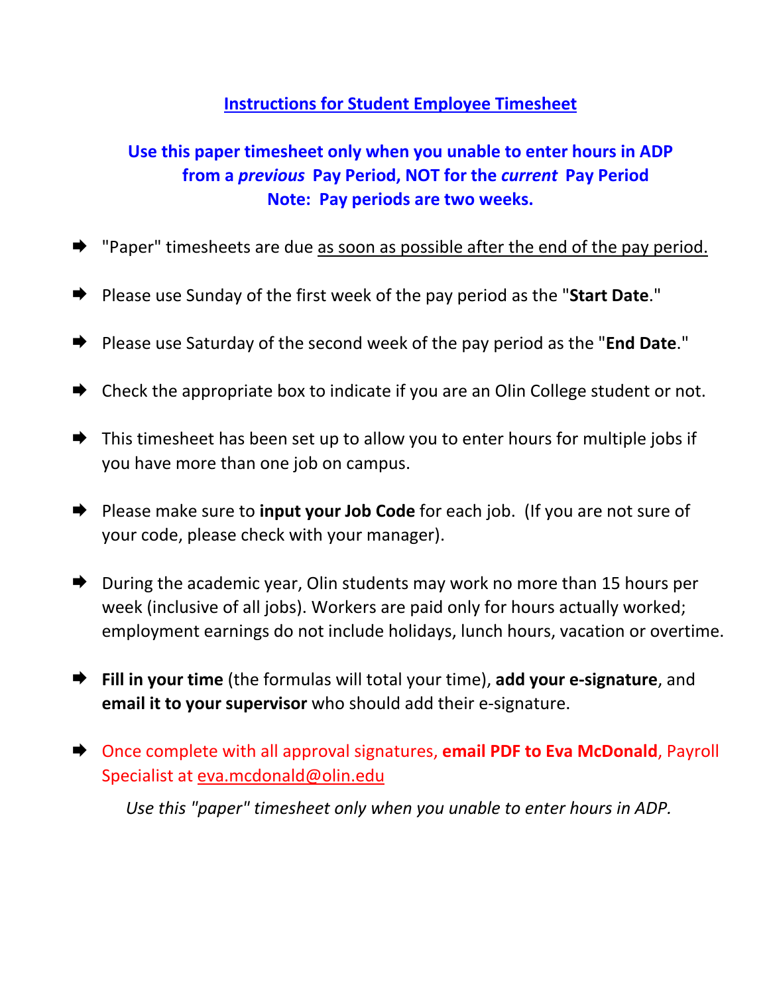## **Instructions for Student Employee Timesheet**

## **from a** *previous* **Pay Period, NOT for the** *current* **Pay Period Use this paper timesheet only when you unable to enter hours in ADP Note: Pay periods are two weeks.**

- "Paper" timesheets are due as soon as possible after the end of the pay period.
- Please use Sunday of the first week of the pay period as the "**Start Date**."
- Please use Saturday of the second week of the pay period as the "**End Date**."
- $\rightarrow$  Check the appropriate box to indicate if you are an Olin College student or not.
- $\rightarrow$  This timesheet has been set up to allow you to enter hours for multiple jobs if you have more than one job on campus.
- **→** Please make sure to **input your Job Code** for each job. (If you are not sure of your code, please check with your manager).
- $\rightarrow$  During the academic year, Olin students may work no more than 15 hours per week (inclusive of all jobs). Workers are paid only for hours actually worked; employment earnings do not include holidays, lunch hours, vacation or overtime.
- **Fill in your time** (the formulas will total your time), **add your e-signature**, and **email it to your supervisor** who should add their e-signature.
- **→** Once complete with all approval signatures, **email PDF to Eva McDonald**, Payroll Specialist at eva.mcdonald@olin.edu

*Use this "paper" timesheet only when you unable to enter hours in ADP.*